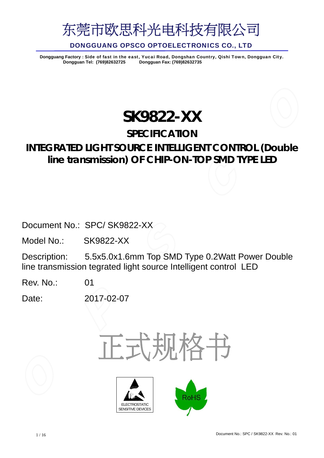

Dongguang Factory : Side of fast in the east, Yucai Road, Dongshan Country, Qishi Town, Dongguan City.<br>Dongguan Tel: (769)82632725 Dongguan Fax: (769)82632735 **Dongguan Tel: (769)82632725 Dongguan Fax: (769)82632735**

## **SK9822-XX**

## **SPECIFICATION**

## **INTEGRATED LIGHT SOURCE INTELLIGENT CONTROL (Double line transmission) OF CHIP-ON-TOP SMD TYPE LED**

Document No.: SPC/ SK9822-XX

Model No.: SK9822-XX

Description: 5.5x5.0x1.6mm Top SMD Type 0.2Watt Power Double line transmission tegrated light source Intelligent control LED

Rev. No.: 01

Date: 2017-02-07

正式规格书



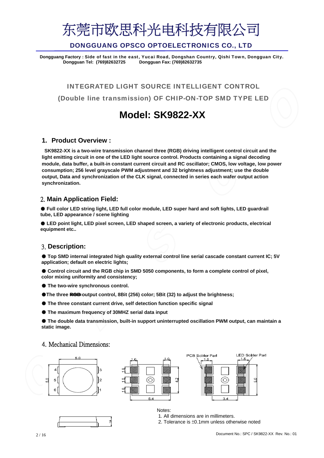

Dongguang Factory : Side of fast in the east, Yucai Road, Dongshan Country, Qishi Town, Dongguan City.<br>Dongguan Tel: (769)82632725 Dongguan Fax: (769)82632735 **Dongguan Tel: (769)82632725 Dongguan Fax: (769)82632735**

INTEGRATED LIGHT SOURCE INTELLIGENT CONTROL (Double line transmission) OF CHIP-ON-TOP SMD TYPE LED

## **Model: SK9822-XX**

### **1. Product Overview :**

**SK9822-XX is a two-wire transmission channel three (RGB) driving intelligent control circuit and the light emitting circuit in one of the LED light source control. Products containing a signal decoding module, data buffer, a built-in constant current circuit and RC oscillator; CMOS, low voltage, low power consumption; 256 level grayscale PWM adjustment and 32 brightness adjustment; use the double output, Data and synchronization of the CLK signal, connected in series each wafer output action synchronization.**

### 2. **Main Application Field:**

● Full color LED string light, LED full color module, LED super hard and soft lights, LED quardrail **tube, LED appearance / scene lighting**

● LED point light, LED pixel screen, LED shaped screen, a variety of electronic products, electrical **equipment etc..**

### 3. **Description:**

● **Top SMD internal integrated high quality external control line serial cascade constant current IC; 5V application; default on electric lights;**

● Control circuit and the RGB chip in SMD 5050 components, to form a complete control of pixel, **color mixing uniformity and consistency;**

- **The two-wire synchronous control.**
- The three <del>RGB</del> output control, 8Bit (256) color; 5Bit (32) to adjust the brightness;
- **The three constant current drive, self detection function specific signal**
- **The maximum frequency of 30MHZ serial data input**

● **The double data transmission, built-in support uninterrupted oscillation PWM output, can maintain a static image.** 

#### 4. Mechanical Dimensions:







Notes: 1. All dimensions are in millimeters.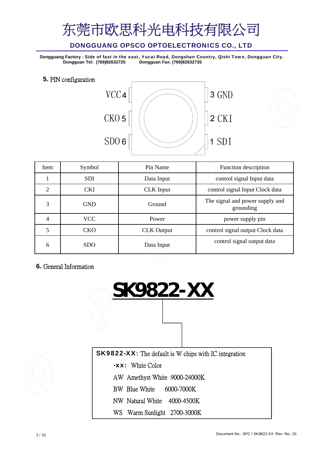## DONGGUANG OPSCO OPTOELECTRONICS CO., LTD

Dongguang Factory : Side of fast in the east, Yucai Road, Dongshan Country, Qishi Town, Dongguan City.<br>Dongguan Tel: (769)82632725 Dongguan Fax: (769)82632735 **Dongguan Tel: (769)82632725 Dongguan Fax: (769)82632735**

**5.** PIN configuration



| Item           | Symbol     | Pin Name          | Function description                         |  |  |
|----------------|------------|-------------------|----------------------------------------------|--|--|
|                | <b>SDI</b> | Data Input        | control signal Input data                    |  |  |
| $\overline{2}$ | <b>CKI</b> | <b>CLK</b> Input  | control signal Input Clock data              |  |  |
| 3              | <b>GND</b> | Ground            | The signal and power supply and<br>grounding |  |  |
| 4              | VCC        | Power             | power supply pin                             |  |  |
| 5              | <b>CKO</b> | <b>CLK</b> Output | control signal output Clock data             |  |  |
| 6              | <b>SDO</b> | Data Input        | control signal output data                   |  |  |

**6.** General Information

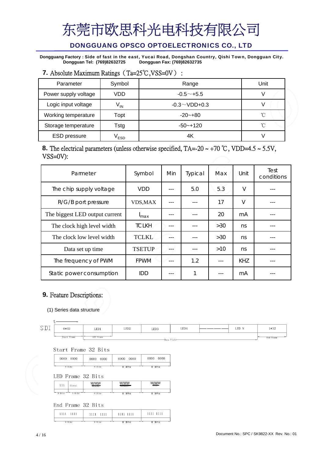## DONGGUANG OPSCO OPTOELECTRONICS CO., LTD

Dongguang Factory : Side of fast in the east, Yucai Road, Dongshan Country, Qishi Town, Dongguan City.<br>Dongguan Tel: (769)82632725 Dongguan Fax: (769)82632735 **Dongguan Tel: (769)82632725 Dongguan Fax: (769)82632735**

## **7.** Absolute Maximum Ratings (Ta=25℃,VSS=0V) :

| Parameter            | Symbol                      | Range               | Unit         |
|----------------------|-----------------------------|---------------------|--------------|
| Power supply voltage | VDD                         | $-0.5+5.5$          |              |
| Logic input voltage  | $V_{IN}$                    | $-0.3 \sim$ VDD+0.3 |              |
| Working temperature  | Topt                        | $-20 - +80$         | $^{\circ}$ C |
| Storage temperature  | Tstg                        | $-50 - +120$        | $^{\circ}$   |
| <b>ESD</b> pressure  | $\mathsf{v}_{\texttt{ESD}}$ | 4K                  |              |

### **8.** The electrical parameters (unless otherwise specified,  $TA = -20 \sim +70 \degree C$ , VDD=4.5  $\sim 5.5V$ , VSS=0V):

| Parmeter                       | Symbol           | Min | Typical | Max | Unit   | Test<br>conditions |
|--------------------------------|------------------|-----|---------|-----|--------|--------------------|
| The chip supply voltage        | <b>VDD</b>       |     | 5.0     | 5.3 | $\vee$ |                    |
| R/G/B port pressure            | <b>VDS,MAX</b>   |     |         | 17  | $\vee$ |                    |
| The biggest LED output current | <sup>I</sup> max |     |         | 20  | mA     |                    |
| The clock high level width     | <b>TCLKH</b>     |     |         | >30 | ns     |                    |
| The clock low level width      | <b>TCLKL</b>     |     |         | >30 | ns     |                    |
| Data set up time               | <b>TSETUP</b>    |     |         | >10 | ns     |                    |
| The frequency of PWM           | <b>FPWM</b>      |     | 1.2     |     | KHZ    |                    |
| Static power consumption       | IDD              |     | 1       |     | mA     |                    |

## **9.** Feature Descriptions:

(1) Series data structure

 $\mathcal{S}$ 

 $+$ 

| $\overline{ }$ $\overline{ }$<br>∸∸ | $0*32$         | LED1  | LED <sub>2</sub> | LED <sub>3</sub> | LED4                | LED N | 1*32     |
|-------------------------------------|----------------|-------|------------------|------------------|---------------------|-------|----------|
|                                     | Frame<br>Start | Frame |                  |                  | $D - 4 = 124 - 1.4$ |       | End Fram |

Start Frame 32 Bits

| 0000   | 0000   | 0000   | 0000  |
|--------|--------|--------|-------|
| 0000   | 0000   | 0000   | 0000  |
| 8 Bits | 8 Bits | 8 Bits | 8 BHs |

LED Frame 32 Bits

|   | 111<br>.  | Global | $\left $ | $B - B$ | I N A N A I<br>1,777 |
|---|-----------|--------|----------|---------|----------------------|
| ⊷ |           |        |          |         |                      |
|   | Bits<br>Ω | $+ -$  | Rite     | €.<br>8 | ð                    |

End Frame 32 Bits

| 1111 1111 | 1111 1111    | 1111 1111 | 1111 1111 |
|-----------|--------------|-----------|-----------|
| Rite      | $R$ $R$ i te | Ri+e      | Bits      |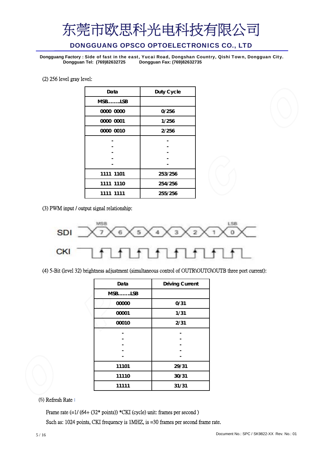### DONGGUANG OPSCO OPTOELECTRONICS CO., LTD

Dongguang Factory : Side of fast in the east, Yucai Road, Dongshan Country, Qishi Town, Dongguan City.<br>Dongguan Tel: (769)82632725 Dongguan Fax: (769)82632735 **Dongguan Tel: (769)82632725 Dongguan Fax: (769)82632735**

#### (2) 256 level gray level:

| Data      | Duty Cycle |
|-----------|------------|
| $MSB$ LSB |            |
| 0000 0000 | 0/256      |
| 0000 0001 | 1/256      |
| 0000 0010 | 2/256      |
|           |            |
|           |            |
|           |            |
|           |            |
| 1111 1101 | 253/256    |
| 1111 1110 | 254/256    |
| 1111 1111 | 255/256    |

(3) PWM input / output signal relationship:



(4) 5-Bit (level 32) brightness adjustment (simultaneous control of OUTR\OUTG\OUTB three port current):

| Data   | <b>Driving Current</b> |
|--------|------------------------|
| MSBLSB |                        |
| 00000  | 0/31                   |
| 00001  | 1/31                   |
| 00010  | 2/31                   |
|        |                        |
|        |                        |
|        |                        |
|        |                        |
|        |                        |
| 11101  | 29/31                  |
| 11110  | 30/31                  |
| 11111  | 31/31                  |

(5) Refresh Rate :

Frame rate (=1/ (64+ (32\* points)) \*CKI (cycle) unit: frames per second )

Such as: 1024 points, CKI frequency is 1MHZ, is =30 frames per second frame rate.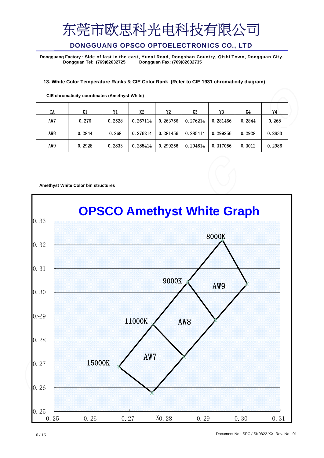## DONGGUANG OPSCO OPTOELECTRONICS CO., LTD

**Dongguang Factory :** Side of fast in the east, Yucai Road, Dongshan Country, Qishi Town, Dongguan City. **Dongguan Tel: (769)82632725 Dongguan Fax: (769)82632735**

#### **13. White Color Temperature Ranks & CIE Color Rank (Refer to CIE 1931 chromaticity diagram)**

| CA              | X1     | Y1     | X2       | Y2       | X3       | Y3       | X4     | Y4     |
|-----------------|--------|--------|----------|----------|----------|----------|--------|--------|
| AW7             | 0.276  | 0.2528 | 0.267114 | 0.263756 | 0.276214 | 0.281456 | 0.2844 | 0.268  |
| AW <sub>8</sub> | 0.2844 | 0.268  | 0.276214 | 0.281456 | 0.285414 | 0.299256 | 0.2928 | 0.2833 |
| AW9             | 0.2928 | 0.2833 | 0.285414 | 0.299256 | 0.294614 | 0.317056 | 0.3012 | 0.2986 |

**CIE chromaticity coordinates (Amethyst White)**

#### **Amethyst White Color bin structures**

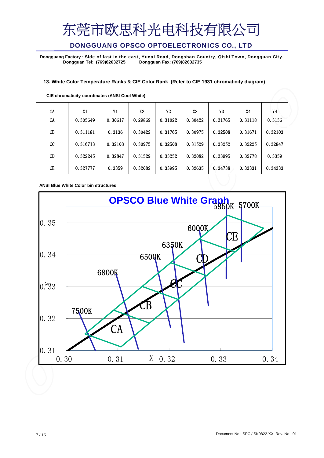## DONGGUANG OPSCO OPTOELECTRONICS CO., LTD

Dongguang Factory : Side of fast in the east, Yucai Road, Dongshan Country, Qishi Town, Dongguan City.<br>Dongguan Tel: (769)82632725 Dongguan Fax: (769)82632735 **Dongguan Tel: (769)82632725 Dongguan Fax: (769)82632735**

#### **13. White Color Temperature Ranks & CIE Color Rank (Refer to CIE 1931 chromaticity diagram)**

| CA | X1       | Y1      | X2      | Y2      | X3      | Y3      | X4      | Y4      |
|----|----------|---------|---------|---------|---------|---------|---------|---------|
| CA | 0.305649 | 0.30617 | 0.29869 | 0.31022 | 0.30422 | 0.31765 | 0.31118 | 0.3136  |
| CB | 0.311181 | 0.3136  | 0.30422 | 0.31765 | 0.30975 | 0.32508 | 0.31671 | 0.32103 |
| cc | 0.316713 | 0.32103 | 0.30975 | 0.32508 | 0.31529 | 0.33252 | 0.32225 | 0.32847 |
| CD | 0.322245 | 0.32847 | 0.31529 | 0.33252 | 0.32082 | 0.33995 | 0.32778 | 0.3359  |
| CE | 0.327777 | 0.3359  | 0.32082 | 0.33995 | 0.32635 | 0.34738 | 0.33331 | 0.34333 |

**CIE chromaticity coordinates (ANSI Cool White)**

**ANSI Blue White Color bin structures**

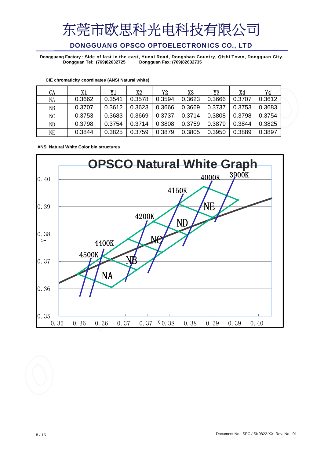## DONGGUANG OPSCO OPTOELECTRONICS CO., LTD

Dongguang Factory : Side of fast in the east, Yucai Road, Dongshan Country, Qishi Town, Dongguan City.<br>Dongguan Tel: (769)82632725 Dongguan Fax: (769)82632735 **Dongguan Tel: (769)82632725 Dongguan Fax: (769)82632735**

| CA        | Х1     | Y1     | X2     | Y2     | X3     | Y3     | X4     | Y4     |
|-----------|--------|--------|--------|--------|--------|--------|--------|--------|
| NA        | 0.3662 | 0.3541 | 0.3578 | 0.3594 | 0.3623 | 0.3666 | 0.3707 | 0.3612 |
| <b>NB</b> | 0.3707 | 0.3612 | 0.3623 | 0.3666 | 0.3669 | 0.3737 | 0.3753 | 0.3683 |
| NC        | 0.3753 | 0.3683 | 0.3669 | 0.3737 | 0.3714 | 0.3808 | 0.3798 | 0.3754 |
| ND        | 0.3798 | 0.3754 | 0.3714 | 0.3808 | 0.3759 | 0.3879 | 0.3844 | 0.3825 |
| <b>NE</b> | 0.3844 | 0.3825 | 0.3759 | 0.3879 | 0.3805 | 0.3950 | 0.3889 | 0.3897 |

**CIE chromaticity coordinates (ANSI Natural white)**

**ANSI Natural White Color bin structures**

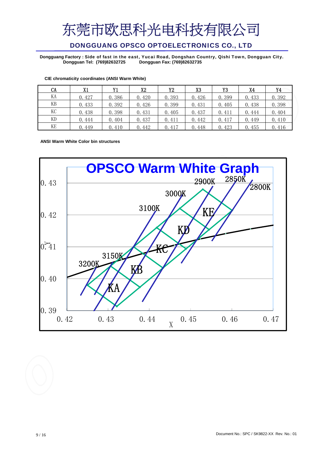## DONGGUANG OPSCO OPTOELECTRONICS CO., LTD

Dongguang Factory : Side of fast in the east, Yucai Road, Dongshan Country, Qishi Town, Dongguan City.<br>Dongguan Tel: (769)82632725 Dongguan Fax: (769)82632735 **Dongguan Tel: (769)82632725 Dongguan Fax: (769)82632735**

| CA | X1    | Y1    | X2    | Y2    | X3    | Y3    | X4    | Y4    |
|----|-------|-------|-------|-------|-------|-------|-------|-------|
| KА | 0.427 | 0.386 | 0.420 | 0.393 | 0.426 | 0.399 | 0.433 | 0.392 |
| KВ | 0.433 | 0.392 | 0.426 | 0.399 | 0.431 | 0.405 | 0.438 | 0.398 |
| KC | 0.438 | 0.398 | 0.431 | 0.405 | 0.437 | 0.411 | 0.444 | 0.404 |
| KD | 0.444 | 0.404 | 0.437 | 0.411 | 0.442 | 0.417 | 0.449 | 0.410 |
| KE | 0.449 | 0.410 | 0.442 | 0.417 | 0.448 | 0.423 | 0.455 | 0.416 |

#### **CIE chromaticity coordinates (ANSI Warm White)**

**ANSI Warm White Color bin structures**

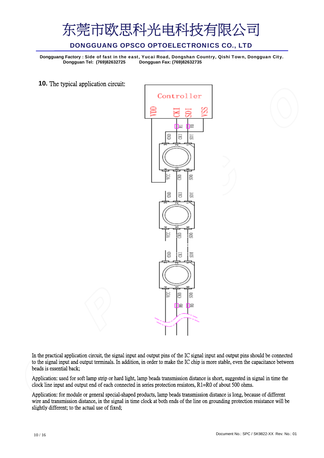

Dongguang Factory : Side of fast in the east, Yucai Road, Dongshan Country, Qishi Town, Dongguan City.<br>Dongguan Tel: (769)82632725 Dongguan Fax: (769)82632735 **Dongguan Tel: (769)82632725 Dongguan Fax: (769)82632735**

**10.** The typical application circuit:



In the practical application circuit, the signal input and output pins of the IC signal input and output pins should be connected to the signal input and output terminals. In addition, in order to make the IC chip is more stable, even the capacitance between beads is essential back;

Application: used for soft lamp strip or hard light, lamp beads transmission distance is short, suggested in signal in time the clock line input and output end of each connected in series protection resistors, R1=R0 of about 500 ohms.

Application: for module or general special-shaped products, lamp beads transmission distance is long, because of different wire and transmission distance, in the signal in time clock at both ends of the line on grounding protection resistance will be slightly different; to the actual use of fixed;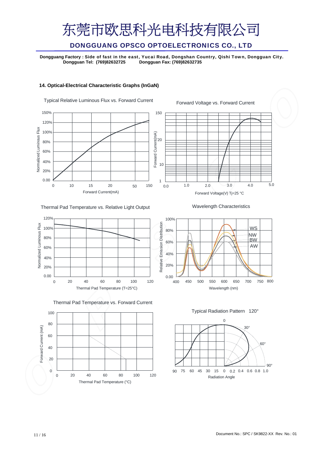## DONGGUANG OPSCO OPTOELECTRONICS CO., LTD

Dongguang Factory : Side of fast in the east, Yucai Road, Dongshan Country, Qishi Town, Dongguan City.<br>Dongguan Tel: (769)82632725 Dongguan Fax: (769)82632735 **Dongguan Tel: (769)82632725 Dongguan Fax: (769)82632735**

#### **14. Optical-Electrical Characteristic Graphs (InGaN)**



Thermal Pad Temperature vs. Relative Light Output



Thermal Pad Temperature vs. Forward Current



Wavelength Characteristics

5.0



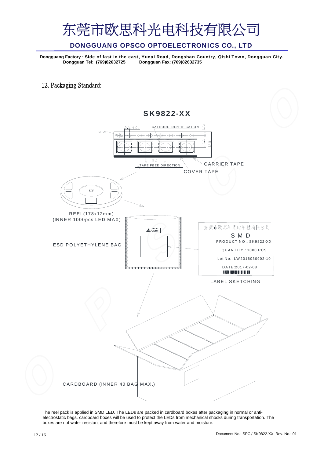### DONGGUANG OPSCO OPTOELECTRONICS CO., LTD

Dongguang Factory : Side of fast in the east, Yucai Road, Dongshan Country, Qishi Town, Dongguan City.<br>Dongguan Tel: (769)82632725 Dongguan Fax: (769)82632735 **Dongguan Tel: (769)82632725 Dongguan Fax: (769)82632735**

12. Packaging Standard:



The reel pack is applied in SMD LED. The LEDs are packed in cardboard boxes after packaging in normal or antielectrostatic bags. cardboard boxes will be used to protect the LEDs from mechanical shocks during transportation. The boxes are not water resistant and therefore must be kept away from water and moisture.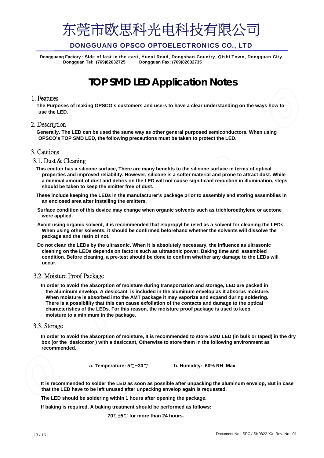

Dongguang Factory : Side of fast in the east, Yucai Road, Dongshan Country, Qishi Town, Dongguan City.<br>Dongguan Tel: (769)82632725 Dongguan Fax: (769)82632735 **Dongguan Tel: (769)82632725 Dongguan Fax: (769)82632735**

## **TOP SMD LED Application Notes**

#### 1. Features

**The Purposes of making OPSCO's customers and users to have a clear understanding on the ways how to use the LED**.

#### 2. Description

**Generally. The LED can be used the same way as other general purposed semiconductors. When using OPSCO's TOP SMD LED, the following precautions must be taken to protect the LED.**

#### 3. Cautions

#### 3.1. Dust & Cleaning

- **This emitter has a silicone surface, There are many benefits to the silicone surface in terms of optical properties and improved reliability. However, silicone is a softer material and prone to attract dust. While a minimal amount of dust and debris on the LED will not cause significant reduction in illumination, steps should be taken to keep the emitter free of dust.**
- **These include keeping the LEDs in the manufacturer's package prior to assembly and storing assemblies in an enclosed area after installing the emitters.**
- **Surface condition of this device may change when organic solvents such as trichloroethylene or acetone were applied.**
- **Avoid using organic solvent, it is recommended that isopropyl be used as a solvent for cleaning the LEDs. When using other solvents, it should be confirmed beforehand whether the solvents will dissolve the package and the resin of not.**
- **Do not clean the LEDs by the ultrasonic. When it is absolutely necessary, the influence as ultrasonic cleaning on the LEDs depends on factors such as ultrasonic power. Baking time and assembled condition. Before cleaning, a pre-test should be done to confirm whether any damage to the LEDs will occur.**

#### 3.2. Moisture Proof Package

**In order to avoid the absorption of moisture during transportation and storage, LED are packed in the aluminum envelop, A desiccant is included in the aluminum envelop as it absorbs moisture. When moisture is absorbed into the AMT package it may vaporize and expand during soldering. There is a possibility that this can cause exfoliation of the contacts and damage to the optical characteristics of the LEDs. For this reason, the moisture proof package is used to keep moisture to a minimum in the package.** 

#### 3.3. Storage

**In order to avoid the absorption of moisture, It is recommended to store SMD LED (in bulk or taped) in the dry box (or the desiccator ) with a desiccant, Otherwise to store them in the following environment as recommended.**

**a. Temperature: 5**℃**~30**℃ **b. Humidity: 60% RH Max**

**It is recommended to solder the LED as soon as possible after unpacking the aluminum envelop, But in case that the LED have to be left unused after unpacking envelop again is requested.**

**The LED should be soldering within 1 hours after opening the package.**

**If baking is required, A baking treatment should be performed as follows:**

**70**℃±**5**℃ **for more than 24 hours.**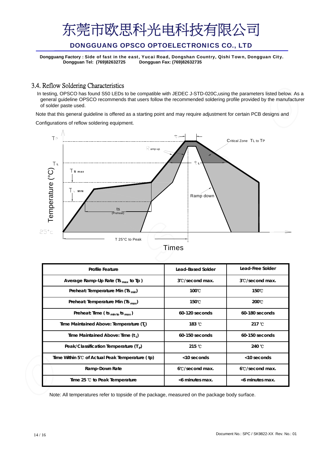### DONGGUANG OPSCO OPTOELECTRONICS CO., LTD

**Dongguang Factory :** Side of fast in the east, Yucai Road, Dongshan Country, Qishi Town, Dongguan City. **Dongguan Tel: (769)82632725 Dongguan Fax: (769)82632735**

### 3.4. Reflow Soldering Characteristics

In testing, OPSCO has found S50 LEDs to be compatible with JEDEC J-STD-020C,using the parameters listed below. As a general guideline OPSCO recommends that users follow the recommended soldering profile provided by the manufacturer of solder paste used.

Note that this general guideline is offered as a starting point and may require adjustment for certain PCB designs and

Configurations of reflow soldering equipment.



|  | ıme |  |
|--|-----|--|
|  |     |  |

| <b>Profile Feature</b>                               | <b>Lead-Based Solder</b>       | Lead-Free Solder          |
|------------------------------------------------------|--------------------------------|---------------------------|
| Average Ramp-Up Rate (Ts $_{max}$ to Tp)             | 3°C/second max.                | 3°C/second max.           |
| Preheat: Temperature Min (Ts <sub>min</sub> )        | $100^{\circ}$ C                | 150°C                     |
| Preheat: Temperature Min (Ts $_{max}$ )              | 150°C                          | $200^{\circ}$ C           |
| Preheat: Time ( $ts_{min to}ts_{max}$ )              | 60-120 seconds                 | 60-180 seconds            |
| Time Maintained Above: Temperature (T <sub>1</sub> ) | $183 \text{ }^{\circ}$ C       | 217 $\degree$ C           |
| Time Maintained Above: Time (t,)                     | $60-150$ seconds               | 60-150 seconds            |
| Peak/Classification Temperature $(Tp)$               | $215 \text{ }^{\circ}\text{C}$ | 240 $\degree$ C           |
| Time Within 5℃ of Actual Peak Temperature (tp)       | <10 seconds                    | $<$ 10 seconds            |
| Ramp-Down Rate                                       | 6°C/second max.                | $6^{\circ}$ C/second max. |
| Time 25 °C to Peak Temperature                       | <6 minutes max.                | <6 minutes max.           |

Note: All temperatures refer to topside of the package, measured on the package body surface.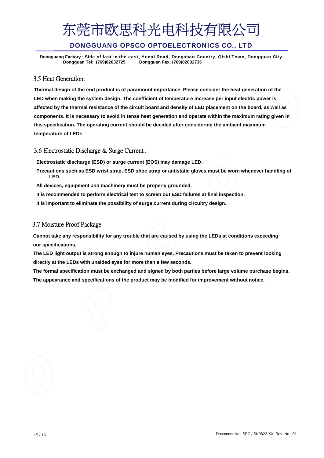### DONGGUANG OPSCO OPTOELECTRONICS CO., LTD

Dongguang Factory : Side of fast in the east, Yucai Road, Dongshan Country, Qishi Town, Dongguan City.<br>Dongguan Tel: (769)82632725 Dongguan Fax: (769)82632735 **Dongguan Tel: (769)82632725 Dongguan Fax: (769)82632735**

### 3.5 Heat Generation:

**Thermal design of the end product is of paramount importance. Please consider the heat generation of the LED when making the system design. The coefficient of temperature increase per input electric power is affected by the thermal resistance of the circuit board and density of LED placement on the board, as well as components. It is necessary to avoid in tense heat generation and operate within the maximum rating given in this specification. The operating current should be decided after considering the ambient maximum temperature of LEDs** 

#### 3.6 Electrostatic Discharge & Surge Current :

**Electrostatic discharge (ESD) or surge current (EOS) may damage LED.**

- **Precautions such as ESD wrist strap, ESD shoe strap or antistatic gloves must be worn whenever handling of LED.**
- **All devices, equipment and machinery must be properly grounded.**
- **It is recommended to perform electrical test to screen out ESD failures at final inspection.**
- **It is important to eliminate the possibility of surge current during circuitry design.**

#### 3.7 Moisture Proof Package

**Cannot take any responsibility for any trouble that are caused by using the LEDs at conditions exceeding our specifications.** 

**The LED light output is strong enough to injure human eyes. Precautions must be taken to prevent looking directly at the LEDs with unaided eyes for more than a few seconds.**

**The formal specification must be exchanged and signed by both parties before large volume purchase begins. The appearance and specifications of the product may be modified for improvement without notice.**